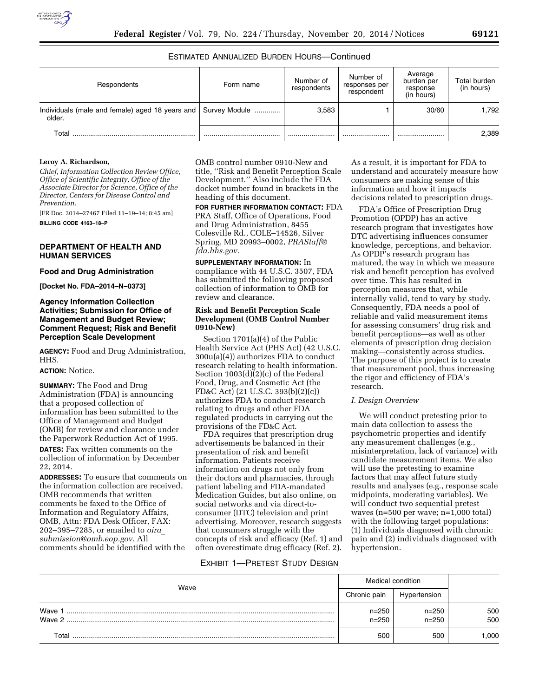# ESTIMATED ANNUALIZED BURDEN HOURS—Continued

| Respondents                                               | Form name     | Number of<br>respondents | Number of<br>responses per<br>respondent | Average<br>burden per<br>response<br>(in hours) | Total burden<br>(in hours) |
|-----------------------------------------------------------|---------------|--------------------------|------------------------------------------|-------------------------------------------------|----------------------------|
| Individuals (male and female) aged 18 years and<br>older. | Survey Module | 3.583                    |                                          | 30/60                                           | 1.792                      |
| Total                                                     |               |                          |                                          |                                                 | 2,389                      |

#### **Leroy A. Richardson,**

*Chief, Information Collection Review Office, Office of Scientific Integrity, Office of the Associate Director for Science, Office of the Director, Centers for Disease Control and Prevention.* 

[FR Doc. 2014–27467 Filed 11–19–14; 8:45 am]

**BILLING CODE 4163–18–P** 

## **DEPARTMENT OF HEALTH AND HUMAN SERVICES**

### **Food and Drug Administration**

**[Docket No. FDA–2014–N–0373]** 

## **Agency Information Collection Activities; Submission for Office of Management and Budget Review; Comment Request; Risk and Benefit Perception Scale Development**

**AGENCY:** Food and Drug Administration, HHS.

#### **ACTION:** Notice.

**SUMMARY:** The Food and Drug Administration (FDA) is announcing that a proposed collection of information has been submitted to the Office of Management and Budget (OMB) for review and clearance under the Paperwork Reduction Act of 1995.

**DATES:** Fax written comments on the collection of information by December 22, 2014.

**ADDRESSES:** To ensure that comments on the information collection are received, OMB recommends that written comments be faxed to the Office of Information and Regulatory Affairs, OMB, Attn: FDA Desk Officer, FAX: 202–395–7285, or emailed to *[oira](mailto:oira_submission@omb.eop.gov)*\_ *[submission@omb.eop.gov.](mailto:oira_submission@omb.eop.gov)* All comments should be identified with the

OMB control number 0910-New and title, ''Risk and Benefit Perception Scale Development.'' Also include the FDA docket number found in brackets in the heading of this document.

**FOR FURTHER INFORMATION CONTACT:** FDA PRA Staff, Office of Operations, Food and Drug Administration, 8455 Colesville Rd., COLE–14526, Silver Spring, MD 20993–0002, *[PRAStaff@](mailto:PRAStaff@fda.hhs.gov) [fda.hhs.gov.](mailto:PRAStaff@fda.hhs.gov)* 

**SUPPLEMENTARY INFORMATION:** In compliance with 44 U.S.C. 3507, FDA has submitted the following proposed collection of information to OMB for review and clearance.

## **Risk and Benefit Perception Scale Development (OMB Control Number 0910-New)**

Section 1701(a)(4) of the Public Health Service Act (PHS Act) (42 U.S.C. 300u(a)(4)) authorizes FDA to conduct research relating to health information. Section 1003(d)(2)(c) of the Federal Food, Drug, and Cosmetic Act (the FD&C Act) (21 U.S.C. 393(b)(2)(c)) authorizes FDA to conduct research relating to drugs and other FDA regulated products in carrying out the provisions of the FD&C Act.

FDA requires that prescription drug advertisements be balanced in their presentation of risk and benefit information. Patients receive information on drugs not only from their doctors and pharmacies, through patient labeling and FDA-mandated Medication Guides, but also online, on social networks and via direct-toconsumer (DTC) television and print advertising. Moreover, research suggests that consumers struggle with the concepts of risk and efficacy (Ref. 1) and often overestimate drug efficacy (Ref. 2).

As a result, it is important for FDA to understand and accurately measure how consumers are making sense of this information and how it impacts decisions related to prescription drugs.

FDA's Office of Prescription Drug Promotion (OPDP) has an active research program that investigates how DTC advertising influences consumer knowledge, perceptions, and behavior. As OPDP's research program has matured, the way in which we measure risk and benefit perception has evolved over time. This has resulted in perception measures that, while internally valid, tend to vary by study. Consequently, FDA needs a pool of reliable and valid measurement items for assessing consumers' drug risk and benefit perceptions—as well as other elements of prescription drug decision making—consistently across studies. The purpose of this project is to create that measurement pool, thus increasing the rigor and efficiency of FDA's research.

### *I. Design Overview*

We will conduct pretesting prior to main data collection to assess the psychometric properties and identify any measurement challenges (e.g., misinterpretation, lack of variance) with candidate measurement items. We also will use the pretesting to examine factors that may affect future study results and analyses (e.g., response scale midpoints, moderating variables). We will conduct two sequential pretest waves (n=500 per wave; n=1,000 total) with the following target populations: (1) Individuals diagnosed with chronic pain and (2) individuals diagnosed with hypertension.

## EXHIBIT 1—PRETEST STUDY DESIGN

| Wave             | Medical condition      |                        |            |
|------------------|------------------------|------------------------|------------|
|                  | Chronic pain           | Hypertension           |            |
| Wave 1<br>Wave 2 | $n = 250$<br>$n = 250$ | $n = 250$<br>$n = 250$ | 500<br>500 |
| Total            | 500                    | 500                    | .000       |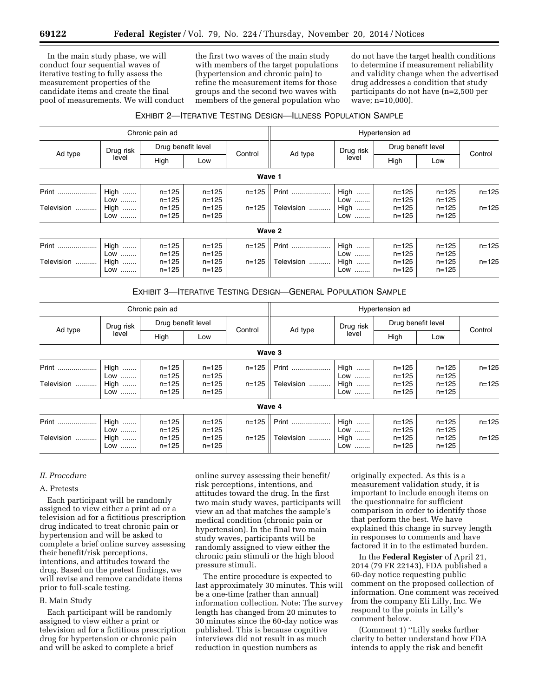In the main study phase, we will conduct four sequential waves of iterative testing to fully assess the measurement properties of the candidate items and create the final pool of measurements. We will conduct

the first two waves of the main study with members of the target populations (hypertension and chronic pain) to refine the measurement items for those groups and the second two waves with members of the general population who do not have the target health conditions to determine if measurement reliability and validity change when the advertised drug addresses a condition that study participants do not have (n=2,500 per wave; n=10,000).

# EXHIBIT 2—ITERATIVE TESTING DESIGN—ILLNESS POPULATION SAMPLE

| Chronic pain ad |                         |                        |                        |           | Hypertension ad |                      |                        |                        |           |  |
|-----------------|-------------------------|------------------------|------------------------|-----------|-----------------|----------------------|------------------------|------------------------|-----------|--|
| Ad type         | Drug risk<br>level      | Drug benefit level     |                        |           |                 | Drug risk            | Drug benefit level     |                        |           |  |
|                 |                         | High                   | Low                    | Control   | Ad type         | level                | High                   | Low                    | Control   |  |
| Wave 1          |                         |                        |                        |           |                 |                      |                        |                        |           |  |
| Print           | <b>High </b><br>Low<br> | $n = 125$<br>$n = 125$ | $n = 125$<br>$n = 125$ | $n = 125$ | Print           | <b>High </b><br>Low  | $n = 125$<br>$n = 125$ | $n = 125$<br>$n = 125$ | $n = 125$ |  |
| Television<br>. | <b>High </b><br>Low     | $n = 125$<br>$n = 125$ | $n = 125$<br>$n = 125$ | $n = 125$ | Television      | High<br>Low          | $n = 125$<br>$n = 125$ | $n = 125$<br>$n = 125$ | $n = 125$ |  |
| Wave 2          |                         |                        |                        |           |                 |                      |                        |                        |           |  |
| Print           | <b>High </b><br>Low     | $n = 125$<br>$n = 125$ | $n = 125$<br>$n = 125$ | $n = 125$ | Print           | High<br>Low          | $n = 125$<br>$n = 125$ | $n = 125$<br>$n = 125$ | $n = 125$ |  |
| Television<br>  | High<br>Low<br>         | $n = 125$<br>$n = 125$ | $n = 125$<br>$n = 125$ | $n = 125$ | Television      | High<br><br>Low<br>. | $n = 125$<br>$n = 125$ | $n = 125$<br>$n = 125$ | $n = 125$ |  |

# EXHIBIT 3—ITERATIVE TESTING DESIGN—GENERAL POPULATION SAMPLE

| Chronic pain ad          |                                            |                                                  |                                                  |                        | Hypertension ad     |                                        |                                                  |                                                  |                        |  |
|--------------------------|--------------------------------------------|--------------------------------------------------|--------------------------------------------------|------------------------|---------------------|----------------------------------------|--------------------------------------------------|--------------------------------------------------|------------------------|--|
| Ad type                  | Drug risk<br>level                         | Drug benefit level                               |                                                  |                        |                     | Drug risk                              | Drug benefit level                               |                                                  |                        |  |
|                          |                                            | High                                             | Low                                              | Control                | Ad type             | level                                  | High                                             | Low                                              | Control                |  |
| Wave 3                   |                                            |                                                  |                                                  |                        |                     |                                        |                                                  |                                                  |                        |  |
| Print<br>Television      | <b>High </b><br>Low<br>High<br>Low         | $n = 125$<br>$n = 125$<br>$n = 125$<br>$n = 125$ | $n = 125$<br>$n = 125$<br>$n = 125$<br>$n = 125$ | $n = 125$<br>$n = 125$ | Print<br>Television | High<br>Low<br>High<br>Low             | $n = 125$<br>$n = 125$<br>$n = 125$<br>$n = 125$ | $n = 125$<br>$n = 125$<br>$n = 125$<br>$n = 125$ | $n = 125$<br>$n = 125$ |  |
| Wave 4                   |                                            |                                                  |                                                  |                        |                     |                                        |                                                  |                                                  |                        |  |
| Print<br>Television<br>. | High<br>Low<br><br><b>High </b><br>Low<br> | $n = 125$<br>$n = 125$<br>$n = 125$<br>$n = 125$ | $n = 125$<br>$n = 125$<br>$n = 125$<br>$n = 125$ | $n = 125$<br>$n = 125$ | Print<br>Television | <b>High </b><br>Low<br>High<br>Low<br> | $n = 125$<br>$n = 125$<br>$n = 125$<br>$n = 125$ | $n = 125$<br>$n = 125$<br>$n = 125$<br>$n = 125$ | $n = 125$<br>$n = 125$ |  |

### *II. Procedure*

# A. Pretests

Each participant will be randomly assigned to view either a print ad or a television ad for a fictitious prescription drug indicated to treat chronic pain or hypertension and will be asked to complete a brief online survey assessing their benefit/risk perceptions, intentions, and attitudes toward the drug. Based on the pretest findings, we will revise and remove candidate items prior to full-scale testing.

#### B. Main Study

Each participant will be randomly assigned to view either a print or television ad for a fictitious prescription drug for hypertension or chronic pain and will be asked to complete a brief

online survey assessing their benefit/ risk perceptions, intentions, and attitudes toward the drug. In the first two main study waves, participants will view an ad that matches the sample's medical condition (chronic pain or hypertension). In the final two main study waves, participants will be randomly assigned to view either the chronic pain stimuli or the high blood pressure stimuli.

The entire procedure is expected to last approximately 30 minutes. This will be a one-time (rather than annual) information collection. Note: The survey length has changed from 20 minutes to 30 minutes since the 60-day notice was published. This is because cognitive interviews did not result in as much reduction in question numbers as

originally expected. As this is a measurement validation study, it is important to include enough items on the questionnaire for sufficient comparison in order to identify those that perform the best. We have explained this change in survey length in responses to comments and have factored it in to the estimated burden.

In the **Federal Register** of April 21, 2014 (79 FR 22143), FDA published a 60-day notice requesting public comment on the proposed collection of information. One comment was received from the company Eli Lilly, Inc. We respond to the points in Lilly's comment below.

(Comment 1) ''Lilly seeks further clarity to better understand how FDA intends to apply the risk and benefit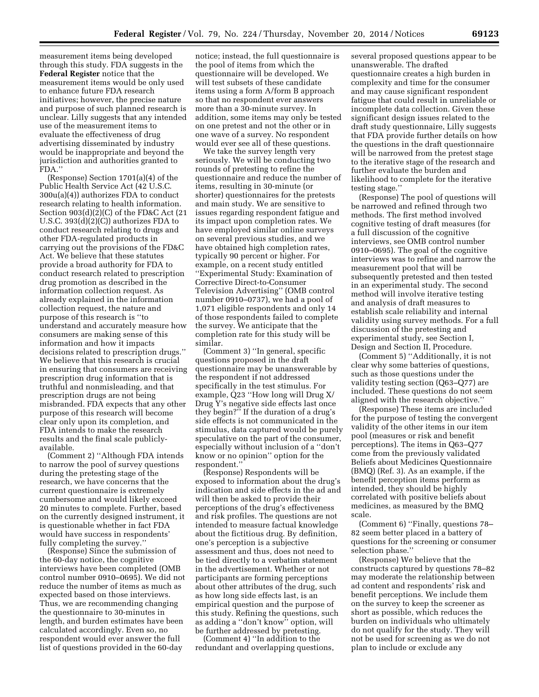measurement items being developed through this study. FDA suggests in the **Federal Register** notice that the measurement items would be only used to enhance future FDA research initiatives; however, the precise nature and purpose of such planned research is unclear. Lilly suggests that any intended use of the measurement items to evaluate the effectiveness of drug advertising disseminated by industry would be inappropriate and beyond the jurisdiction and authorities granted to FDA.''

(Response) Section 1701(a)(4) of the Public Health Service Act (42 U.S.C. 300u(a)(4)) authorizes FDA to conduct research relating to health information. Section 903(d)(2)(C) of the FD&C Act (21 U.S.C. 393(d)(2)(C)) authorizes FDA to conduct research relating to drugs and other FDA-regulated products in carrying out the provisions of the FD&C Act. We believe that these statutes provide a broad authority for FDA to conduct research related to prescription drug promotion as described in the information collection request. As already explained in the information collection request, the nature and purpose of this research is ''to understand and accurately measure how consumers are making sense of this information and how it impacts decisions related to prescription drugs.'' We believe that this research is crucial in ensuring that consumers are receiving prescription drug information that is truthful and nonmisleading, and that prescription drugs are not being misbranded. FDA expects that any other purpose of this research will become clear only upon its completion, and FDA intends to make the research results and the final scale publiclyavailable.

(Comment 2) ''Although FDA intends to narrow the pool of survey questions during the pretesting stage of the research, we have concerns that the current questionnaire is extremely cumbersome and would likely exceed 20 minutes to complete. Further, based on the currently designed instrument, it is questionable whether in fact FDA would have success in respondents' fully completing the survey.''

(Response) Since the submission of the 60-day notice, the cognitive interviews have been completed (OMB control number 0910–0695). We did not reduce the number of items as much as expected based on those interviews. Thus, we are recommending changing the questionnaire to 30-minutes in length, and burden estimates have been calculated accordingly. Even so, no respondent would ever answer the full list of questions provided in the 60-day

notice; instead, the full questionnaire is the pool of items from which the questionnaire will be developed. We will test subsets of these candidate items using a form A/form B approach so that no respondent ever answers more than a 30-minute survey. In addition, some items may only be tested on one pretest and not the other or in one wave of a survey. No respondent would ever see all of these questions.

We take the survey length very seriously. We will be conducting two rounds of pretesting to refine the questionnaire and reduce the number of items, resulting in 30-minute (or shorter) questionnaires for the pretests and main study. We are sensitive to issues regarding respondent fatigue and its impact upon completion rates. We have employed similar online surveys on several previous studies, and we have obtained high completion rates, typically 90 percent or higher. For example, on a recent study entitled ''Experimental Study: Examination of Corrective Direct-to-Consumer Television Advertising'' (OMB control number 0910–0737), we had a pool of 1,071 eligible respondents and only 14 of those respondents failed to complete the survey. We anticipate that the completion rate for this study will be similar.

(Comment 3) ''In general, specific questions proposed in the draft questionnaire may be unanswerable by the respondent if not addressed specifically in the test stimulus. For example, Q23 ''How long will Drug X/ Drug Y's negative side effects last once they begin?'' If the duration of a drug's side effects is not communicated in the stimulus, data captured would be purely speculative on the part of the consumer, especially without inclusion of a ''don't know or no opinion'' option for the respondent.

(Response) Respondents will be exposed to information about the drug's indication and side effects in the ad and will then be asked to provide their perceptions of the drug's effectiveness and risk profiles. The questions are not intended to measure factual knowledge about the fictitious drug. By definition, one's perception is a subjective assessment and thus, does not need to be tied directly to a verbatim statement in the advertisement. Whether or not participants are forming perceptions about other attributes of the drug, such as how long side effects last, is an empirical question and the purpose of this study. Refining the questions, such as adding a ''don't know'' option, will be further addressed by pretesting.

(Comment 4) ''In addition to the redundant and overlapping questions, several proposed questions appear to be unanswerable. The drafted questionnaire creates a high burden in complexity and time for the consumer and may cause significant respondent fatigue that could result in unreliable or incomplete data collection. Given these significant design issues related to the draft study questionnaire, Lilly suggests that FDA provide further details on how the questions in the draft questionnaire will be narrowed from the pretest stage to the iterative stage of the research and further evaluate the burden and likelihood to complete for the iterative testing stage.''

(Response) The pool of questions will be narrowed and refined through two methods. The first method involved cognitive testing of draft measures (for a full discussion of the cognitive interviews, see OMB control number 0910–0695). The goal of the cognitive interviews was to refine and narrow the measurement pool that will be subsequently pretested and then tested in an experimental study. The second method will involve iterative testing and analysis of draft measures to establish scale reliability and internal validity using survey methods. For a full discussion of the pretesting and experimental study, see Section I, Design and Section II, Procedure.

(Comment 5) ''Additionally, it is not clear why some batteries of questions, such as those questions under the validity testing section (Q63–Q77) are included. These questions do not seem aligned with the research objective.''

(Response) These items are included for the purpose of testing the convergent validity of the other items in our item pool (measures or risk and benefit perceptions). The items in Q63–Q77 come from the previously validated Beliefs about Medicines Questionnaire (BMQ) (Ref. 3). As an example, if the benefit perception items perform as intended, they should be highly correlated with positive beliefs about medicines, as measured by the BMQ scale.

(Comment 6) ''Finally, questions 78– 82 seem better placed in a battery of questions for the screening or consumer selection phase.''

(Response) We believe that the constructs captured by questions 78–82 may moderate the relationship between ad content and respondents' risk and benefit perceptions. We include them on the survey to keep the screener as short as possible, which reduces the burden on individuals who ultimately do not qualify for the study. They will not be used for screening as we do not plan to include or exclude any